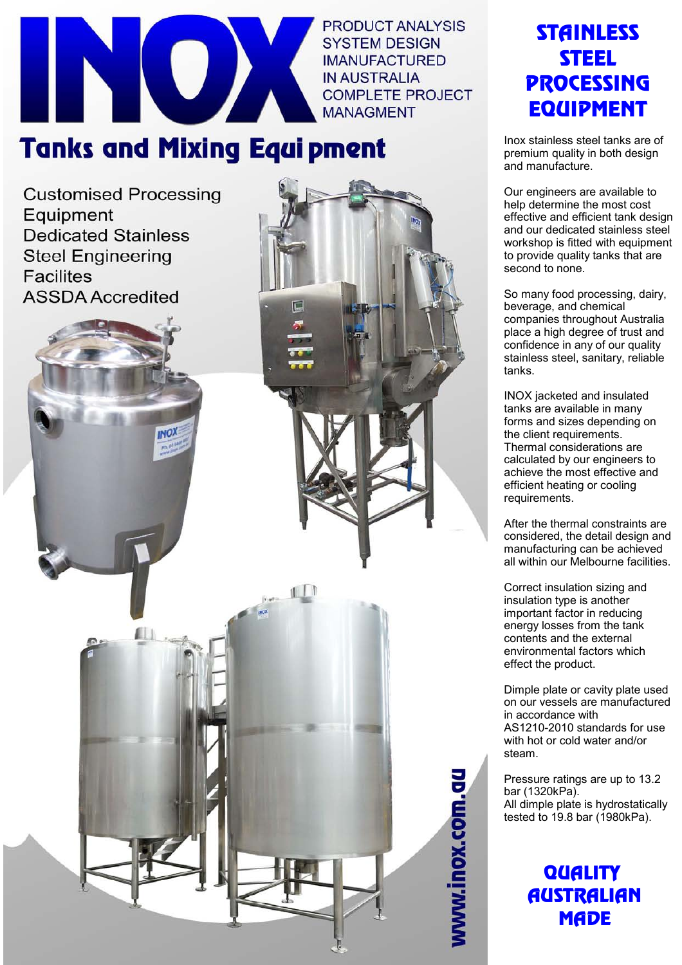

**PRODUCT ANALYSIS SYSTEM DESIGN IMANUFACTURED IN AUSTRALIA COMPLETE PROJECT MANAGMENT** 

## **Tanks and Mixing Equipment**

**Customised Processing** Equipment **Dedicated Stainless Steel Engineering Facilites ASSDA Accredited** 





VWW.inox.com.gu

### **STAINLESS** STEEL **PROCESSING EQUIDMENT**

Inox stainless steel tanks are of premium quality in both design and manufacture.

Our engineers are available to help determine the most cost effective and efficient tank design and our dedicated stainless steel workshop is fitted with equipment to provide quality tanks that are second to none.

So many food processing, dairy, beverage, and chemical companies throughout Australia place a high degree of trust and confidence in any of our quality stainless steel, sanitary, reliable tanks.

INOX jacketed and insulated tanks are available in many forms and sizes depending on the client requirements. Thermal considerations are calculated by our engineers to achieve the most effective and efficient heating or cooling requirements.

After the thermal constraints are considered, the detail design and manufacturing can be achieved all within our Melbourne facilities.

Correct insulation sizing and insulation type is another important factor in reducing energy losses from the tank contents and the external environmental factors which effect the product.

Dimple plate or cavity plate used on our vessels are manufactured in accordance with AS1210-2010 standards for use with hot or cold water and/or steam.

Pressure ratings are up to 13.2 bar (1320kPa). All dimple plate is hydrostatically tested to 19.8 bar (1980kPa).

#### **QUALITY AUSTRALIAN MADE**